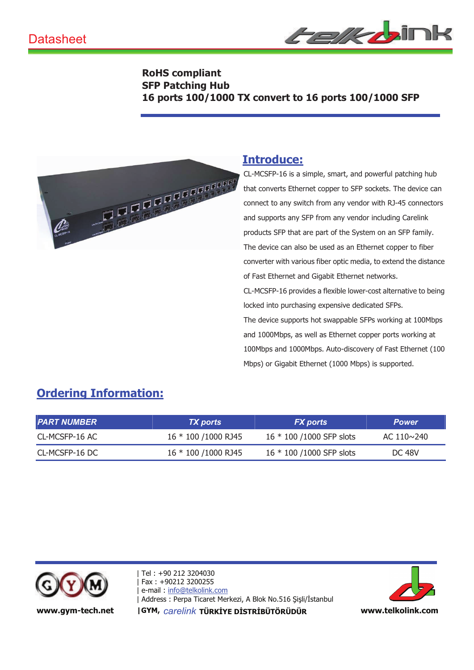

#### **RoHS compliant SFP Patching Hub 16 ports 100/1000 TX convert to 16 ports 100/1000 SFP**



## **Introduce:**

CL-MCSFP-16 is a simple, smart, and powerful patching hub that converts Ethernet copper to SFP sockets. The device can connect to any switch from any vendor with RJ-45 connectors and supports any SFP from any vendor including Carelink products SFP that are part of the System on an SFP family. The device can also be used as an Ethernet copper to fiber converter with various fiber optic media, to extend the distance of Fast Ethernet and Gigabit Ethernet networks. CL-MCSFP-16 provides a flexible lower-cost alternative to being locked into purchasing expensive dedicated SFPs. The device supports hot swappable SFPs working at 100Mbps and 1000Mbps, as well as Ethernet copper ports working at 100Mbps and 1000Mbps. Auto-discovery of Fast Ethernet (100 Mbps) or Gigabit Ethernet (1000 Mbps) is supported.

# **Ordering Information:**

| <b>PART NUMBER</b> | <b>TX</b> ports       | <b>FX</b> ports          | <b>Power</b>      |
|--------------------|-----------------------|--------------------------|-------------------|
| CL-MCSFP-16 AC     | 16 * 100 / 1000 RJ 45 | 16 * 100 /1000 SFP slots | AC $110 \sim 240$ |
| CL-MCSFP-16 DC     | 16 * 100 / 1000 RJ 45 | 16 * 100 /1000 SFP slots | <b>DC 48V</b>     |



| Tel : +90 212 3204030 -Fax: +90212 3200255 e-mail: info@telkolink.com | Address : Perpa Ticaret Merkezi, A Blok No.516 Şişli/İstanbul North Albert Merkezi



www.gym-tech.net | GYM, carelink TÜRKİYE DİSTRİBÜTÖRÜDÜR